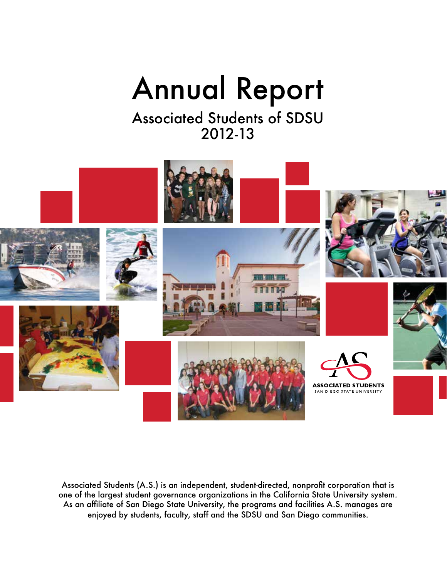# Annual Report

Associated Students of SDSU 2012-13



Associated Students (A.S.) is an independent, student-directed, nonprofit corporation that is one of the largest student governance organizations in the California State University system. As an affiliate of San Diego State University, the programs and facilities A.S. manages are enjoyed by students, faculty, staff and the SDSU and San Diego communities.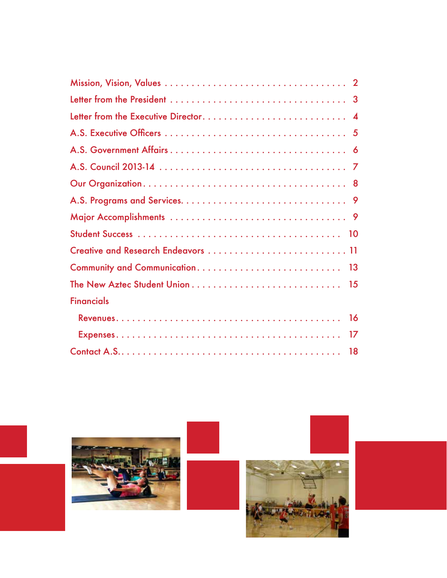| Creative and Research Endeavors  11 |
|-------------------------------------|
|                                     |
|                                     |
| <b>Financials</b>                   |
| 16                                  |
|                                     |
|                                     |

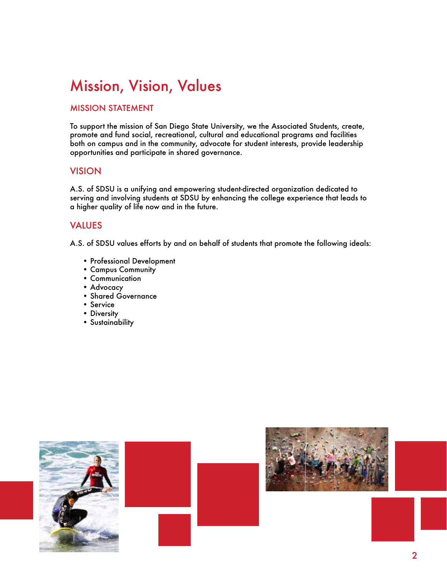# Mission, Vision, Values

### MISSION STATEMENT

To support the mission of San Diego State University, we the Associated Students, create, promote and fund social, recreational, cultural and educational programs and facilities both on campus and in the community, advocate for student interests, provide leadership opportunities and participate in shared governance.

### VISION

A.S. of SDSU is a unifying and empowering student-directed organization dedicated to serving and involving students at SDSU by enhancing the college experience that leads to a higher quality of life now and in the future.

### VALUES

A.S. of SDSU values efforts by and on behalf of students that promote the following ideals:

- Professional Development
- Campus Community
- Communication
- Advocacy
- Shared Governance
- Service
- Diversity
- Sustainability



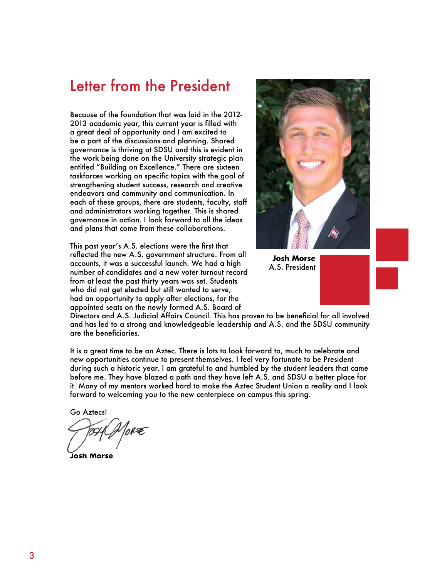### Letter from the President

Because of the foundation that was laid in the 2012- 2013 academic year, this current year is filled with a great deal of opportunity and I am excited to be a part of the discussions and planning. Shared governance is thriving at SDSU and this is evident in the work being done on the University strategic plan entitled "Building on Excellence." There are sixteen taskforces working on specific topics with the goal of strengthening student success, research and creative endeavors and community and communication. In each of these groups, there are students, faculty, staff and administrators working together. This is shared governance in action. I look forward to all the ideas and plans that come from these collaborations.

This past year's A.S. elections were the first that reflected the new A.S. government structure. From all accounts, it was a successful launch. We had a high number of candidates and a new voter turnout record from at least the past thirty years was set. Students who did not get elected but still wanted to serve, had an opportunity to apply after elections, for the appointed seats on the newly formed A.S. Board of



**Josh Morse** A.S. President

Directors and A.S. Judicial Affairs Council. This has proven to be beneficial for all involved and has led to a strong and knowledgeable leadership and A.S. and the SDSU community are the beneficiaries.

It is a great time to be an Aztec. There is lots to look forward to, much to celebrate and new opportunities continue to present themselves. I feel very fortunate to be President during such a historic year. I am grateful to and humbled by the student leaders that came before me. They have blazed a path and they have left A.S. and SDSU a better place for it. Many of my mentors worked hard to make the Aztec Student Union a reality and I look forward to welcoming you to the new centerpiece on campus this spring.

Go Aztecs!

1orœ

**Josh Morse**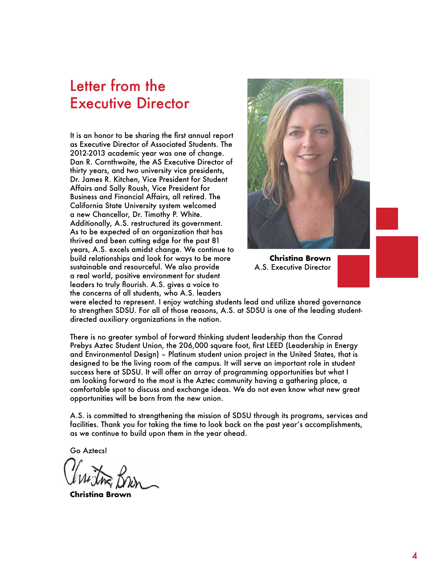### Letter from the Executive Director

It is an honor to be sharing the first annual report as Executive Director of Associated Students. The 2012-2013 academic year was one of change. Dan R. Cornthwaite, the AS Executive Director of thirty years, and two university vice presidents, Dr. James R. Kitchen, Vice President for Student Affairs and Sally Roush, Vice President for Business and Financial Affairs, all retired. The California State University system welcomed a new Chancellor, Dr. Timothy P. White. Additionally, A.S. restructured its government. As to be expected of an organization that has thrived and been cutting edge for the past 81 years, A.S. excels amidst change. We continue to build relationships and look for ways to be more sustainable and resourceful. We also provide a real world, positive environment for student leaders to truly flourish. A.S. gives a voice to the concerns of all students, who A.S. leaders



**Christina Brown** A.S. Executive Director

were elected to represent. I enjoy watching students lead and utilize shared governance to strengthen SDSU. For all of those reasons, A.S. at SDSU is one of the leading studentdirected auxiliary organizations in the nation.

There is no greater symbol of forward thinking student leadership than the Conrad Prebys Aztec Student Union, the 206,000 square foot, first LEED (Leadership in Energy and Environmental Design) – Platinum student union project in the United States, that is designed to be the living room of the campus. It will serve an important role in student success here at SDSU. It will offer an array of programming opportunities but what I am looking forward to the most is the Aztec community having a gathering place, a comfortable spot to discuss and exchange ideas. We do not even know what new great opportunities will be born from the new union.

A.S. is committed to strengthening the mission of SDSU through its programs, services and facilities. Thank you for taking the time to look back on the past year's accomplishments, as we continue to build upon them in the year ahead.

Go Aztecs!

**Christina Brown**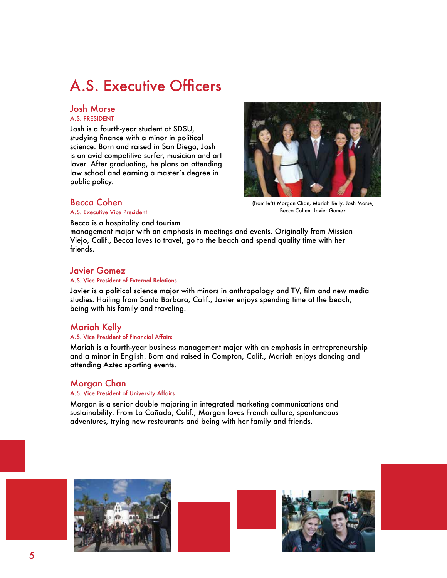# A.S. Executive Officers

### Josh Morse

#### A.S. PRESIDENT

Josh is a fourth-year student at SDSU, studying finance with a minor in political science. Born and raised in San Diego, Josh is an avid competitive surfer, musician and art lover. After graduating, he plans on attending law school and earning a master's degree in public policy.



### Becca Cohen

A.S. Executive Vice President

(from left) Morgan Chan, Mariah Kelly, Josh Morse, Becca Cohen, Javier Gomez

Becca is a hospitality and tourism

management major with an emphasis in meetings and events. Originally from Mission Viejo, Calif., Becca loves to travel, go to the beach and spend quality time with her friends.

### Javier Gomez

#### A.S. Vice President of External Relations

Javier is a political science major with minors in anthropology and TV, film and new media studies. Hailing from Santa Barbara, Calif., Javier enjoys spending time at the beach, being with his family and traveling.

### Mariah Kelly

#### A.S. Vice President of Financial Affairs

Mariah is a fourth-year business management major with an emphasis in entrepreneurship and a minor in English. Born and raised in Compton, Calif., Mariah enjoys dancing and attending Aztec sporting events.

### Morgan Chan

#### A.S. Vice President of University Affairs

Morgan is a senior double majoring in integrated marketing communications and sustainability. From La Cañada, Calif., Morgan loves French culture, spontaneous adventures, trying new restaurants and being with her family and friends.

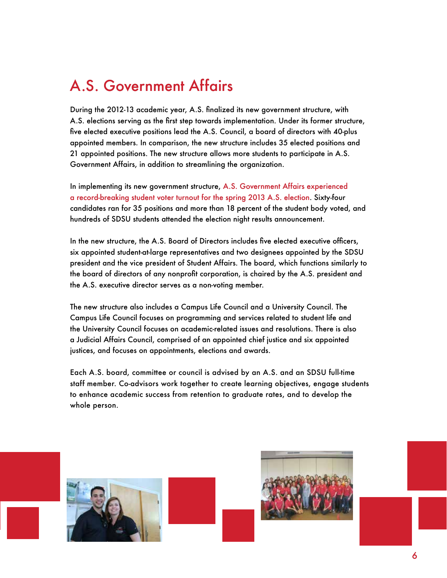# A.S. Government Affairs

During the 2012-13 academic year, A.S. finalized its new government structure, with A.S. elections serving as the first step towards implementation. Under its former structure, five elected executive positions lead the A.S. Council, a board of directors with 40-plus appointed members. In comparison, the new structure includes 35 elected positions and 21 appointed positions. The new structure allows more students to participate in A.S. Government Affairs, in addition to streamlining the organization.

In implementing its new government structure, A.S. Government Affairs experienced a record-breaking student voter turnout for the spring 2013 A.S. election. Sixty-four candidates ran for 35 positions and more than 18 percent of the student body voted, and hundreds of SDSU students attended the election night results announcement.

In the new structure, the A.S. Board of Directors includes five elected executive officers, six appointed student-at-large representatives and two designees appointed by the SDSU president and the vice president of Student Affairs. The board, which functions similarly to the board of directors of any nonprofit corporation, is chaired by the A.S. president and the A.S. executive director serves as a non-voting member.

The new structure also includes a Campus Life Council and a University Council. The Campus Life Council focuses on programming and services related to student life and the University Council focuses on academic-related issues and resolutions. There is also a Judicial Affairs Council, comprised of an appointed chief justice and six appointed justices, and focuses on appointments, elections and awards.

Each A.S. board, committee or council is advised by an A.S. and an SDSU full-time staff member. Co-advisors work together to create learning objectives, engage students to enhance academic success from retention to graduate rates, and to develop the whole person.



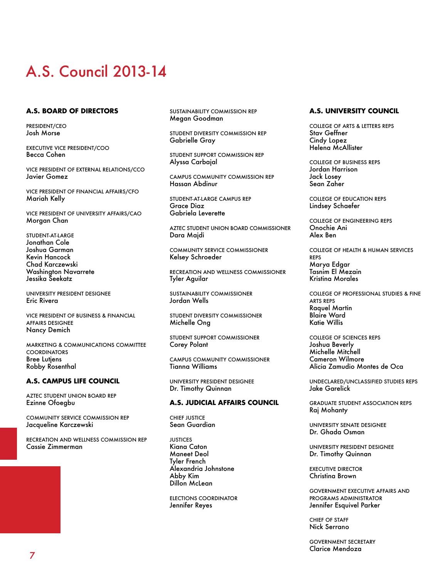# A.S. Council 2013-14

#### **A.S. BOARD OF DIRECTORS**

PRESIDENT/CEO Josh Morse

EXECUTIVE VICE PRESIDENT/COO Becca Cohen

VICE PRESIDENT OF EXTERNAL RELATIONS/CCO Javier Gomez

VICE PRESIDENT OF FINANCIAL AFFAIRS/CFO Mariah Kelly

VICE PRESIDENT OF UNIVERSITY AFFAIRS/CAO Morgan Chan

STUDENT-AT-LARGE Jonathan Cole Joshua Garman Kevin Hancock Chad Karczewski Washington Navarrete Jessika Seekatz

UNIVERSITY PRESIDENT DESIGNEE Eric Rivera

VICE PRESIDENT OF BUSINESS & FINANCIAL AFFAIRS DESIGNEE Nancy Demich

MARKETING & COMMUNICATIONS COMMITTEE **COORDINATORS** Bree Lutjens Robby Rosenthal

#### **A.S. CAMPUS LIFE COUNCIL**

AZTEC STUDENT UNION BOARD REP Ezinne Ofoegbu

COMMUNITY SERVICE COMMISSION REP Jacqueline Karczewski

RECREATION AND WELLNESS COMMISSION REP Cassie Zimmerman

SUSTAINABILITY COMMISSION REP Megan Goodman

STUDENT DIVERSITY COMMISSION REP Gabrielle Gray

STUDENT SUPPORT COMMISSION REP Alyssa Carbajal

CAMPUS COMMUNITY COMMISSION REP Hassan Abdinur

STUDENT-AT-LARGE CAMPUS REP Grace Diaz Gabriela Leverette

AZTEC STUDENT UNION BOARD COMMISSIONER Dara Majdi

COMMUNITY SERVICE COMMISSIONER Kelsey Schroeder

RECREATION AND WELLNESS COMMISSIONER Tyler Aguilar

SUSTAINABILITY COMMISSIONER Jordan Wells

STUDENT DIVERSITY COMMISSIONER Michelle Ong

STUDENT SUPPORT COMMISSIONER Corey Polant

CAMPUS COMMUNITY COMMISSIONER Tianna Williams

UNIVERSITY PRESIDENT DESIGNEE Dr. Timothy Quinnan

#### **A.S. JUDICIAL AFFAIRS COUNCIL**

CHIEF JUSTICE Sean Guardian

JUSTICES Kiana Caton Maneet Deol Tyler French Alexandria Johnstone Abby Kim Dillon McLean

ELECTIONS COORDINATOR Jennifer Reyes

#### **A.S. UNIVERSITY COUNCIL**

COLLEGE OF ARTS & LETTERS REPS Stav Geffner Cindy Lopez Helena McAllister

COLLEGE OF BUSINESS REPS Jordan Harrison Jack Losey Sean Zaher

COLLEGE OF EDUCATION REPS Lindsey Schaefer

COLLEGE OF ENGINEERING REPS Onochie Ani Alex Ben

COLLEGE OF HEALTH & HUMAN SERVICES REPS Marya Edgar Tasnim El Mezain Kristina Morales

COLLEGE OF PROFESSIONAL STUDIES & FINE ARTS REPS Raquel Martin Blaire Ward Katie Willis

COLLEGE OF SCIENCES REPS Joshua Beverly Michelle Mitchell Cameron Wilmore Alicia Zamudio Montes de Oca

UNDECLARED/UNCLASSIFIED STUDIES REPS Jake Garelick

GRADUATE STUDENT ASSOCIATION REPS Raj Mohanty

UNIVERSITY SENATE DESIGNEE Dr. Ghada Osman

UNIVERSITY PRESIDENT DESIGNEE Dr. Timothy Quinnan

EXECUTIVE DIRECTOR Christina Brown

GOVERNMENT EXECUTIVE AFFAIRS AND PROGRAMS ADMINISTRATOR Jennifer Esquivel Parker

CHIEF OF STAFF Nick Serrano

GOVERNMENT SECRETARY Clarice Mendoza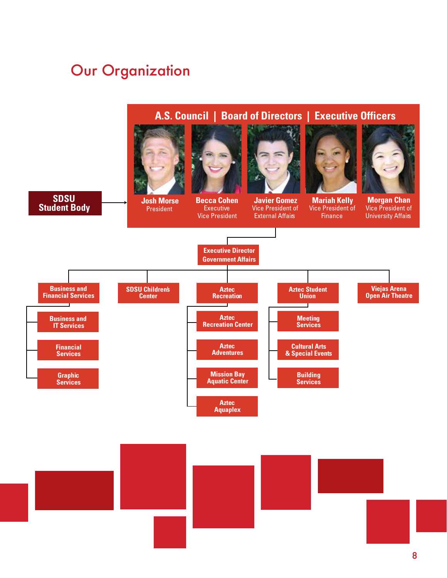# Our Organization

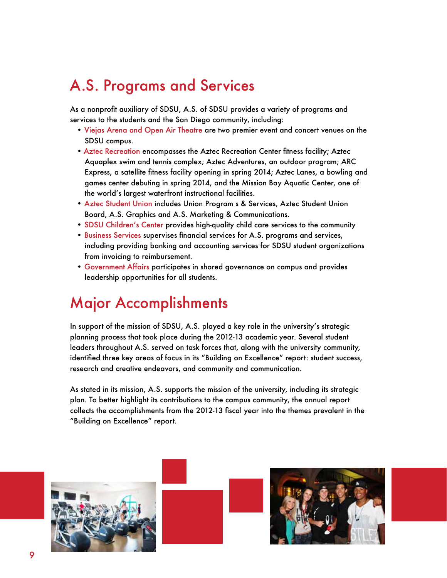# A.S. Programs and Services

As a nonprofit auxiliary of SDSU, A.S. of SDSU provides a variety of programs and services to the students and the San Diego community, including:

- Viejas Arena and Open Air Theatre are two premier event and concert venues on the SDSU campus.
- Aztec Recreation encompasses the Aztec Recreation Center fitness facility; Aztec Aquaplex swim and tennis complex; Aztec Adventures, an outdoor program; ARC Express, a satellite fitness facility opening in spring 2014; Aztec Lanes, a bowling and games center debuting in spring 2014, and the Mission Bay Aquatic Center, one of the world's largest waterfront instructional facilities.
- Aztec Student Union includes Union Program s & Services, Aztec Student Union Board, A.S. Graphics and A.S. Marketing & Communications.
- SDSU Children's Center provides high-quality child care services to the community
- Business Services supervises financial services for A.S. programs and services, including providing banking and accounting services for SDSU student organizations from invoicing to reimbursement.
- Government Affairs participates in shared governance on campus and provides leadership opportunities for all students.

# Major Accomplishments

In support of the mission of SDSU, A.S. played a key role in the university's strategic planning process that took place during the 2012-13 academic year. Several student leaders throughout A.S. served on task forces that, along with the university community, identified three key areas of focus in its "Building on Excellence" report: student success, research and creative endeavors, and community and communication.

As stated in its mission, A.S. supports the mission of the university, including its strategic plan. To better highlight its contributions to the campus community, the annual report collects the accomplishments from the 2012-13 fiscal year into the themes prevalent in the "Building on Excellence" report.





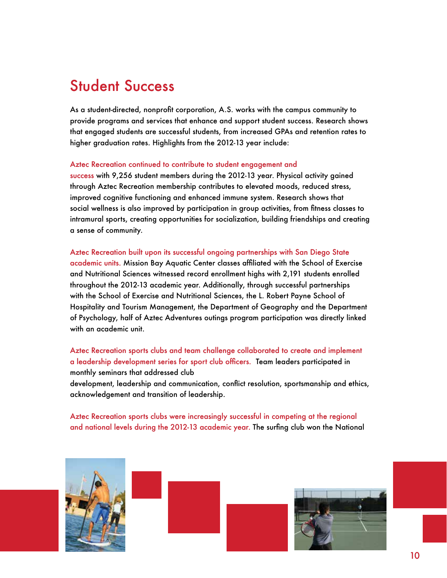# Student Success

As a student-directed, nonprofit corporation, A.S. works with the campus community to provide programs and services that enhance and support student success. Research shows that engaged students are successful students, from increased GPAs and retention rates to higher graduation rates. Highlights from the 2012-13 year include:

#### Aztec Recreation continued to contribute to student engagement and

success with 9,256 student members during the 2012-13 year. Physical activity gained through Aztec Recreation membership contributes to elevated moods, reduced stress, improved cognitive functioning and enhanced immune system. Research shows that social wellness is also improved by participation in group activities, from fitness classes to intramural sports, creating opportunities for socialization, building friendships and creating a sense of community.

### Aztec Recreation built upon its successful ongoing partnerships with San Diego State academic units. Mission Bay Aquatic Center classes affiliated with the School of Exercise and Nutritional Sciences witnessed record enrollment highs with 2,191 students enrolled throughout the 2012-13 academic year. Additionally, through successful partnerships with the School of Exercise and Nutritional Sciences, the L. Robert Payne School of Hospitality and Tourism Management, the Department of Geography and the Department of Psychology, half of Aztec Adventures outings program participation was directly linked with an academic unit.

Aztec Recreation sports clubs and team challenge collaborated to create and implement a leadership development series for sport club officers. Team leaders participated in monthly seminars that addressed club

development, leadership and communication, conflict resolution, sportsmanship and ethics, acknowledgement and transition of leadership.

Aztec Recreation sports clubs were increasingly successful in competing at the regional and national levels during the 2012-13 academic year. The surfing club won the National

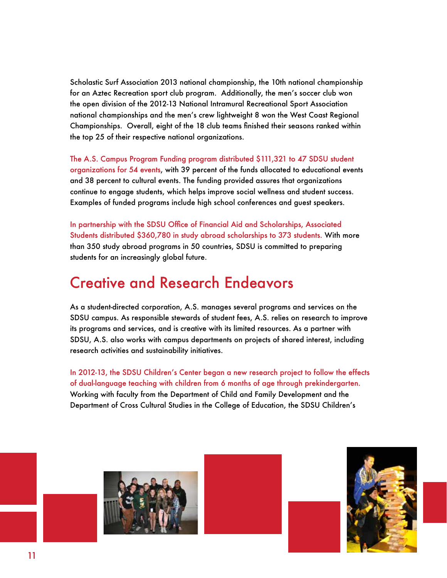Scholastic Surf Association 2013 national championship, the 10th national championship for an Aztec Recreation sport club program. Additionally, the men's soccer club won the open division of the 2012-13 National Intramural Recreational Sport Association national championships and the men's crew lightweight 8 won the West Coast Regional Championships. Overall, eight of the 18 club teams finished their seasons ranked within the top 25 of their respective national organizations.

The A.S. Campus Program Funding program distributed \$111,321 to 47 SDSU student organizations for 54 events, with 39 percent of the funds allocated to educational events and 38 percent to cultural events. The funding provided assures that organizations continue to engage students, which helps improve social wellness and student success. Examples of funded programs include high school conferences and guest speakers.

In partnership with the SDSU Office of Financial Aid and Scholarships, Associated Students distributed \$360,780 in study abroad scholarships to 373 students. With more than 350 study abroad programs in 50 countries, SDSU is committed to preparing students for an increasingly global future.

# Creative and Research Endeavors

As a student-directed corporation, A.S. manages several programs and services on the SDSU campus. As responsible stewards of student fees, A.S. relies on research to improve its programs and services, and is creative with its limited resources. As a partner with SDSU, A.S. also works with campus departments on projects of shared interest, including research activities and sustainability initiatives.

In 2012-13, the SDSU Children's Center began a new research project to follow the effects of dual-language teaching with children from 6 months of age through prekindergarten. Working with faculty from the Department of Child and Family Development and the Department of Cross Cultural Studies in the College of Education, the SDSU Children's





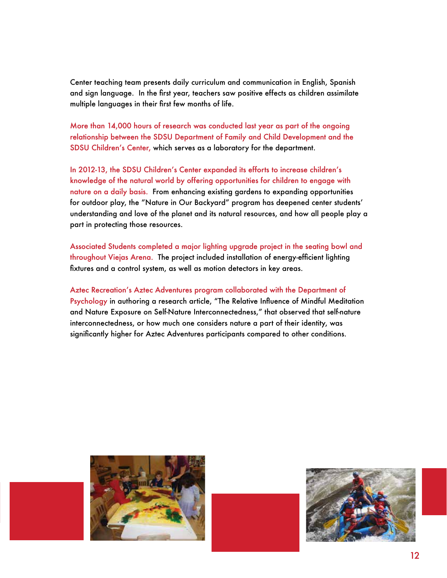Center teaching team presents daily curriculum and communication in English, Spanish and sign language. In the first year, teachers saw positive effects as children assimilate multiple languages in their first few months of life.

More than 14,000 hours of research was conducted last year as part of the ongoing relationship between the SDSU Department of Family and Child Development and the SDSU Children's Center, which serves as a laboratory for the department.

In 2012-13, the SDSU Children's Center expanded its efforts to increase children's knowledge of the natural world by offering opportunities for children to engage with nature on a daily basis. From enhancing existing gardens to expanding opportunities for outdoor play, the "Nature in Our Backyard" program has deepened center students' understanding and love of the planet and its natural resources, and how all people play a part in protecting those resources.

Associated Students completed a major lighting upgrade project in the seating bowl and throughout Viejas Arena. The project included installation of energy-efficient lighting fixtures and a control system, as well as motion detectors in key areas.

Aztec Recreation's Aztec Adventures program collaborated with the Department of Psychology in authoring a research article, "The Relative Influence of Mindful Meditation and Nature Exposure on Self-Nature Interconnectedness," that observed that self-nature interconnectedness, or how much one considers nature a part of their identity, was significantly higher for Aztec Adventures participants compared to other conditions.



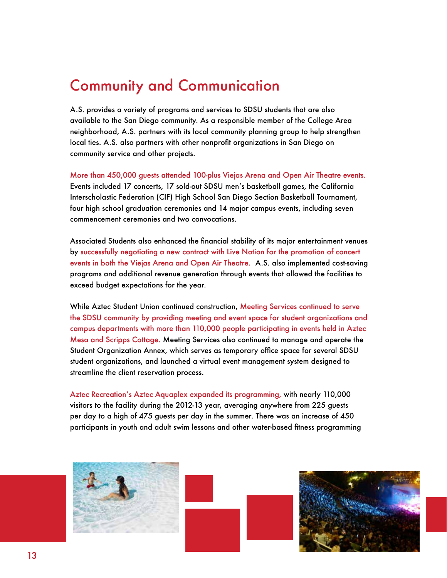## Community and Communication

A.S. provides a variety of programs and services to SDSU students that are also available to the San Diego community. As a responsible member of the College Area neighborhood, A.S. partners with its local community planning group to help strengthen local ties. A.S. also partners with other nonprofit organizations in San Diego on community service and other projects.

More than 450,000 guests attended 100-plus Viejas Arena and Open Air Theatre events. Events included 17 concerts, 17 sold-out SDSU men's basketball games, the California Interscholastic Federation (CIF) High School San Diego Section Basketball Tournament, four high school graduation ceremonies and 14 major campus events, including seven commencement ceremonies and two convocations.

Associated Students also enhanced the financial stability of its major entertainment venues by successfully negotiating a new contract with Live Nation for the promotion of concert events in both the Viejas Arena and Open Air Theatre. A.S. also implemented cost-saving programs and additional revenue generation through events that allowed the facilities to exceed budget expectations for the year.

While Aztec Student Union continued construction, Meeting Services continued to serve the SDSU community by providing meeting and event space for student organizations and campus departments with more than 110,000 people participating in events held in Aztec Mesa and Scripps Cottage. Meeting Services also continued to manage and operate the Student Organization Annex, which serves as temporary office space for several SDSU student organizations, and launched a virtual event management system designed to streamline the client reservation process.

Aztec Recreation's Aztec Aquaplex expanded its programming, with nearly 110,000 visitors to the facility during the 2012-13 year, averaging anywhere from 225 guests per day to a high of 475 guests per day in the summer. There was an increase of 450 participants in youth and adult swim lessons and other water-based fitness programming





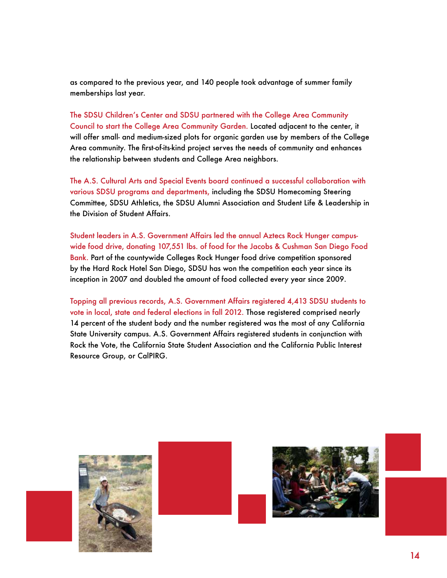as compared to the previous year, and 140 people took advantage of summer family memberships last year.

The SDSU Children's Center and SDSU partnered with the College Area Community Council to start the College Area Community Garden. Located adjacent to the center, it will offer small- and medium-sized plots for organic garden use by members of the College Area community. The first-of-its-kind project serves the needs of community and enhances the relationship between students and College Area neighbors.

The A.S. Cultural Arts and Special Events board continued a successful collaboration with various SDSU programs and departments, including the SDSU Homecoming Steering Committee, SDSU Athletics, the SDSU Alumni Association and Student Life & Leadership in the Division of Student Affairs.

Student leaders in A.S. Government Affairs led the annual Aztecs Rock Hunger campuswide food drive, donating 107,551 lbs. of food for the Jacobs & Cushman San Diego Food Bank. Part of the countywide Colleges Rock Hunger food drive competition sponsored by the Hard Rock Hotel San Diego, SDSU has won the competition each year since its inception in 2007 and doubled the amount of food collected every year since 2009.

Topping all previous records, A.S. Government Affairs registered 4,413 SDSU students to vote in local, state and federal elections in fall 2012. Those registered comprised nearly 14 percent of the student body and the number registered was the most of any California State University campus. A.S. Government Affairs registered students in conjunction with Rock the Vote, the California State Student Association and the California Public Interest Resource Group, or CalPIRG.

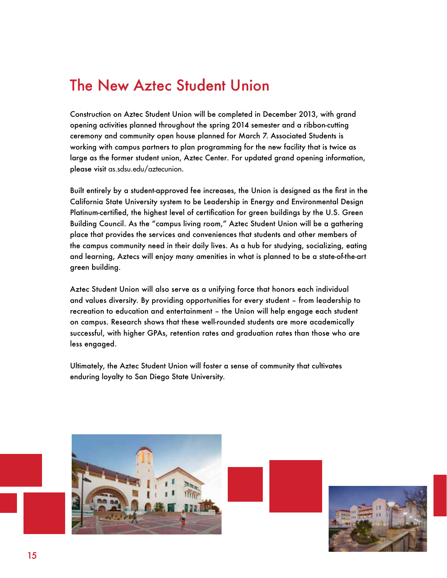# The New Aztec Student Union

Construction on Aztec Student Union will be completed in December 2013, with grand opening activities planned throughout the spring 2014 semester and a ribbon-cutting ceremony and community open house planned for March 7. Associated Students is working with campus partners to plan programming for the new facility that is twice as large as the former student union, Aztec Center. For updated grand opening information, please visit as.sdsu.edu/aztecunion.

Built entirely by a student-approved fee increases, the Union is designed as the first in the California State University system to be Leadership in Energy and Environmental Design Platinum-certified, the highest level of certification for green buildings by the U.S. Green Building Council. As the "campus living room," Aztec Student Union will be a gathering place that provides the services and conveniences that students and other members of the campus community need in their daily lives. As a hub for studying, socializing, eating and learning, Aztecs will enjoy many amenities in what is planned to be a state-of-the-art green building.

Aztec Student Union will also serve as a unifying force that honors each individual and values diversity. By providing opportunities for every student – from leadership to recreation to education and entertainment – the Union will help engage each student on campus. Research shows that these well-rounded students are more academically successful, with higher GPAs, retention rates and graduation rates than those who are less engaged.

Ultimately, the Aztec Student Union will foster a sense of community that cultivates enduring loyalty to San Diego State University.



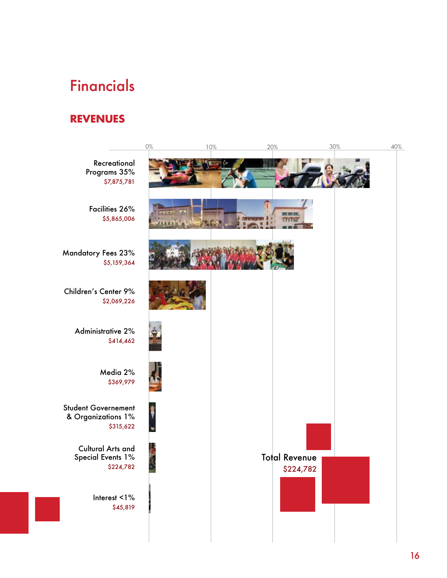# Financials

### **REVENUES**

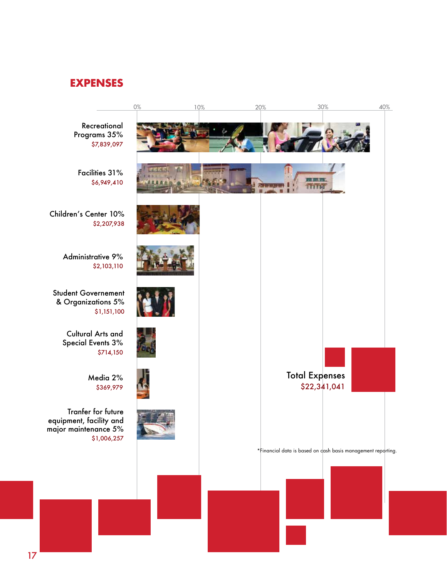### **EXPENSES**

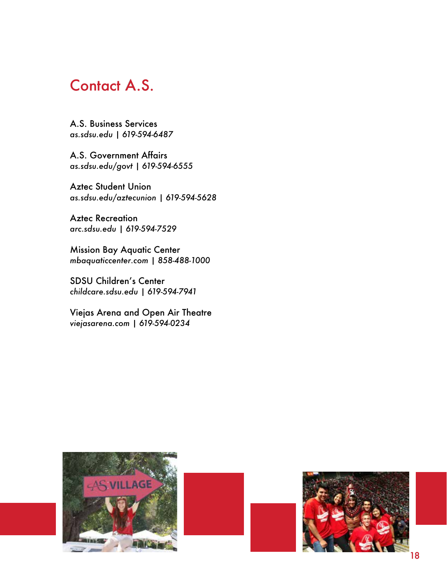### Contact A.S.

A.S. Business Services *as.sdsu.edu | 619-594-6487*

A.S. Government Affairs *as.sdsu.edu/govt | 619-594-6555*

Aztec Student Union *as.sdsu.edu/aztecunion | 619-594-5628*

Aztec Recreation *arc.sdsu.edu | 619-594-7529*

Mission Bay Aquatic Center *mbaquaticcenter.com | 858-488-1000*

SDSU Children's Center *childcare.sdsu.edu | 619-594-7941*

Viejas Arena and Open Air Theatre *viejasarena.com | 619-594-0234*